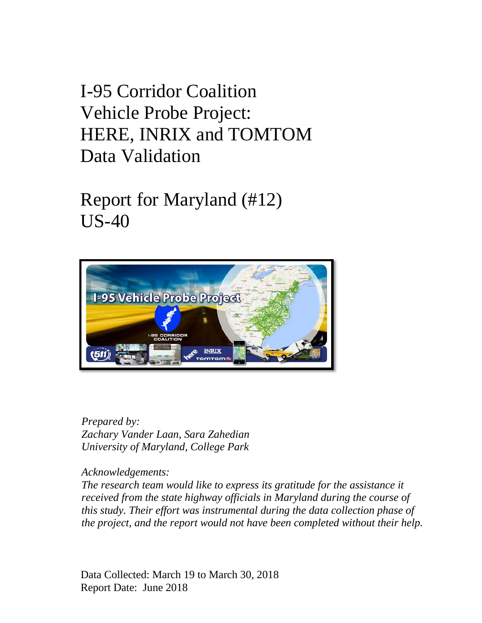I-95 Corridor Coalition Vehicle Probe Project: HERE, INRIX and TOMTOM Data Validation

Report for Maryland (#12) US-40



*Prepared by: Zachary Vander Laan, Sara Zahedian University of Maryland, College Park*

*Acknowledgements:*

*The research team would like to express its gratitude for the assistance it received from the state highway officials in Maryland during the course of this study. Their effort was instrumental during the data collection phase of the project, and the report would not have been completed without their help.*

Data Collected: March 19 to March 30, 2018 Report Date: June 2018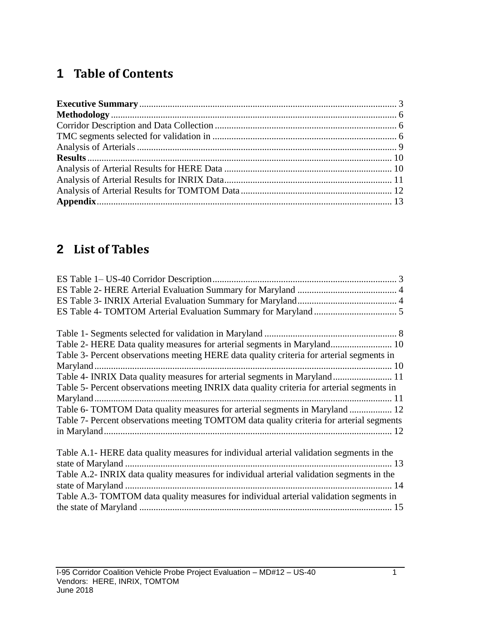### **1 Table of Contents**

## **2 List of Tables**

| Table 2- HERE Data quality measures for arterial segments in Maryland 10                   |
|--------------------------------------------------------------------------------------------|
| Table 3- Percent observations meeting HERE data quality criteria for arterial segments in  |
|                                                                                            |
| Table 4- INRIX Data quality measures for arterial segments in Maryland 11                  |
| Table 5- Percent observations meeting INRIX data quality criteria for arterial segments in |
|                                                                                            |
| Table 6- TOMTOM Data quality measures for arterial segments in Maryland  12                |
| Table 7- Percent observations meeting TOMTOM data quality criteria for arterial segments   |
|                                                                                            |
|                                                                                            |
| Table A.1- HERE data quality measures for individual arterial validation segments in the   |
|                                                                                            |
| Table A.2- INRIX data quality measures for individual arterial validation segments in the  |
|                                                                                            |
| Table A.3- TOMTOM data quality measures for individual arterial validation segments in     |
|                                                                                            |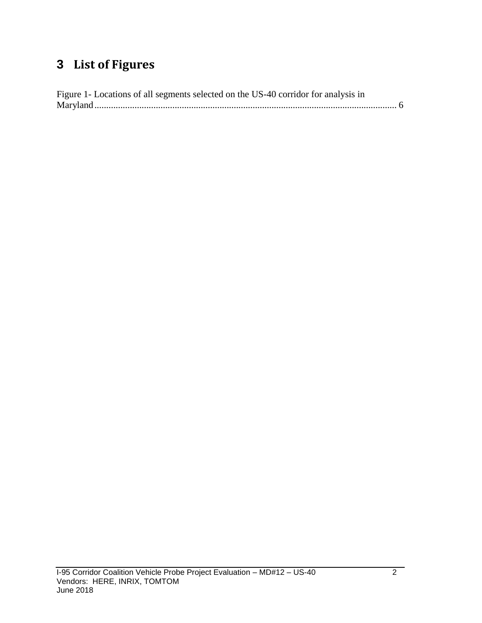## **3 List of Figures**

| Figure 1- Locations of all segments selected on the US-40 corridor for analysis in |  |
|------------------------------------------------------------------------------------|--|
|                                                                                    |  |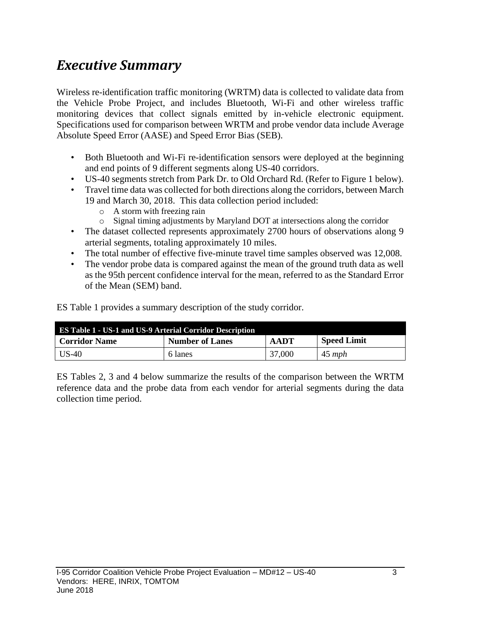## <span id="page-3-0"></span>*Executive Summary*

Wireless re-identification traffic monitoring (WRTM) data is collected to validate data from the Vehicle Probe Project, and includes Bluetooth, Wi-Fi and other wireless traffic monitoring devices that collect signals emitted by in-vehicle electronic equipment. Specifications used for comparison between WRTM and probe vendor data include Average Absolute Speed Error (AASE) and Speed Error Bias (SEB).

- Both Bluetooth and Wi-Fi re-identification sensors were deployed at the beginning and end points of 9 different segments along US-40 corridors.
- US-40 segments stretch from Park Dr. to Old Orchard Rd. (Refer to Figure 1 below).
- Travel time data was collected for both directions along the corridors, between March 19 and March 30, 2018. This data collection period included:
	- o A storm with freezing rain
	- o Signal timing adjustments by Maryland DOT at intersections along the corridor
- The dataset collected represents approximately 2700 hours of observations along 9 arterial segments, totaling approximately 10 miles.
- The total number of effective five-minute travel time samples observed was 12,008.
- The vendor probe data is compared against the mean of the ground truth data as well as the 95th percent confidence interval for the mean, referred to as the Standard Error of the Mean (SEM) band.

ES Table 1 provides a summary description of the study corridor.

<span id="page-3-1"></span>

| <b>ES Table 1 - US-1 and US-9 Arterial Corridor Description</b> |                        |        |                    |  |  |  |
|-----------------------------------------------------------------|------------------------|--------|--------------------|--|--|--|
| Corridor Name                                                   | <b>Number of Lanes</b> | AADT   | <b>Speed Limit</b> |  |  |  |
| US-40                                                           | 6 lanes                | 37,000 | $45 \; mph$        |  |  |  |

ES Tables 2, 3 and 4 below summarize the results of the comparison between the WRTM reference data and the probe data from each vendor for arterial segments during the data collection time period.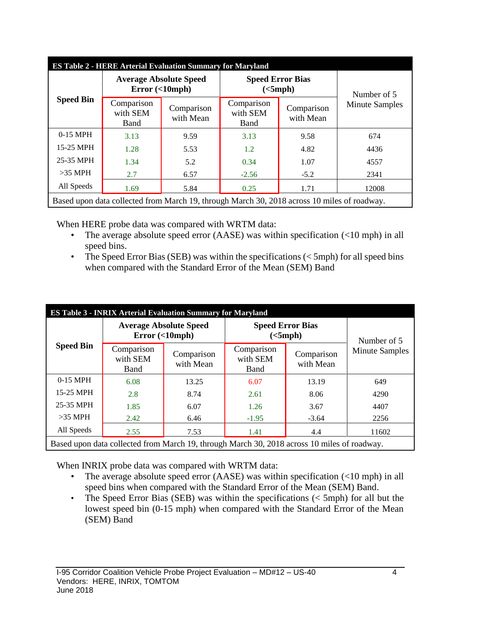<span id="page-4-0"></span>

| <b>ES Table 2 - HERE Arterial Evaluation Summary for Maryland</b> |                                                                                             |                         |                                |                         |                       |  |  |
|-------------------------------------------------------------------|---------------------------------------------------------------------------------------------|-------------------------|--------------------------------|-------------------------|-----------------------|--|--|
|                                                                   | Number of 5                                                                                 |                         |                                |                         |                       |  |  |
| <b>Speed Bin</b>                                                  | Comparison<br>with SEM<br>Band                                                              | Comparison<br>with Mean | Comparison<br>with SEM<br>Band | Comparison<br>with Mean | <b>Minute Samples</b> |  |  |
| $0-15$ MPH                                                        | 3.13                                                                                        | 9.59                    | 3.13                           | 9.58                    | 674                   |  |  |
| 15-25 MPH                                                         | 1.28                                                                                        | 5.53                    | 1.2                            | 4.82                    | 4436                  |  |  |
| 25-35 MPH                                                         | 1.34                                                                                        | 5.2                     | 0.34                           | 1.07                    | 4557                  |  |  |
| $>35$ MPH                                                         | 2.7                                                                                         | 6.57                    | $-2.56$                        | $-5.2$                  | 2341                  |  |  |
| All Speeds                                                        | 1.69                                                                                        | 5.84                    | 0.25                           | 1.71                    | 12008                 |  |  |
|                                                                   | Based upon data collected from March 19, through March 30, 2018 across 10 miles of roadway. |                         |                                |                         |                       |  |  |

When HERE probe data was compared with WRTM data:

- The average absolute speed error (AASE) was within specification (<10 mph) in all speed bins.
- The Speed Error Bias (SEB) was within the specifications  $(<5$ mph) for all speed bins when compared with the Standard Error of the Mean (SEM) Band

<span id="page-4-1"></span>

| <b>Speed Bin</b><br>Comparison<br>with SEM<br><b>Band</b><br>0-15 MPH<br>6.08 | Comparison<br>with Mean | Comparison<br>with SEM<br>Band | Comparison<br>with Mean | Number of 5<br><b>Minute Samples</b> |
|-------------------------------------------------------------------------------|-------------------------|--------------------------------|-------------------------|--------------------------------------|
|                                                                               |                         |                                |                         |                                      |
|                                                                               | 13.25                   | 6.07                           | 13.19                   | 649                                  |
| 15-25 MPH<br>2.8                                                              | 8.74                    | 2.61                           | 8.06                    | 4290                                 |
| 25-35 MPH<br>1.85                                                             | 6.07                    | 1.26                           | 3.67                    | 4407                                 |
| $>35$ MPH<br>2.42                                                             | 6.46                    | $-1.95$                        | $-3.64$                 | 2256                                 |
| All Speeds<br>2.55                                                            | 7.53                    | 1.41                           | 4.4                     | 11602                                |

When INRIX probe data was compared with WRTM data:

- The average absolute speed error (AASE) was within specification  $\left($ <10 mph) in all speed bins when compared with the Standard Error of the Mean (SEM) Band.
- The Speed Error Bias (SEB) was within the specifications  $(<$  5mph) for all but the lowest speed bin (0-15 mph) when compared with the Standard Error of the Mean (SEM) Band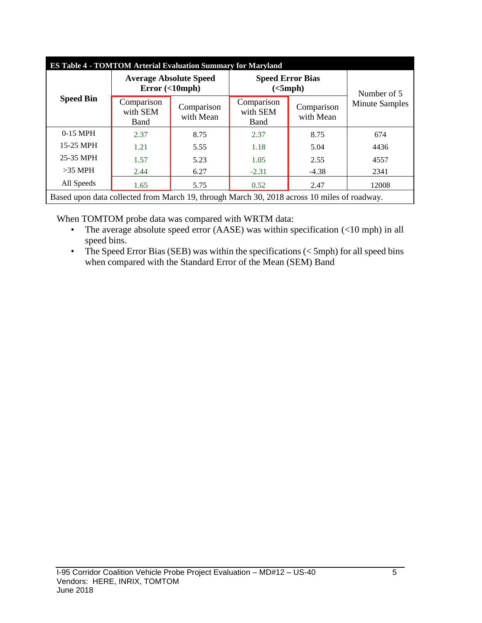<span id="page-5-0"></span>

| <b>ES Table 4 - TOMTOM Arterial Evaluation Summary for Maryland</b> |                                                                                             |                         |                                |                         |                       |  |  |
|---------------------------------------------------------------------|---------------------------------------------------------------------------------------------|-------------------------|--------------------------------|-------------------------|-----------------------|--|--|
|                                                                     | Number of 5                                                                                 |                         |                                |                         |                       |  |  |
| <b>Speed Bin</b>                                                    | Comparison<br>with SEM<br>Band                                                              | Comparison<br>with Mean | Comparison<br>with SEM<br>Band | Comparison<br>with Mean | <b>Minute Samples</b> |  |  |
| 0-15 MPH                                                            | 2.37                                                                                        | 8.75                    | 2.37                           | 8.75                    | 674                   |  |  |
| 15-25 MPH                                                           | 1.21                                                                                        | 5.55                    | 1.18                           | 5.04                    | 4436                  |  |  |
| 25-35 MPH                                                           | 1.57                                                                                        | 5.23                    | 1.05                           | 2.55                    | 4557                  |  |  |
| $>35$ MPH                                                           | 2.44                                                                                        | 6.27                    | $-2.31$                        | $-4.38$                 | 2341                  |  |  |
| All Speeds                                                          | 1.65                                                                                        | 5.75                    | 0.52                           | 2.47                    | 12008                 |  |  |
|                                                                     | Based upon data collected from March 19, through March 30, 2018 across 10 miles of roadway. |                         |                                |                         |                       |  |  |

When TOMTOM probe data was compared with WRTM data:

- The average absolute speed error (AASE) was within specification (<10 mph) in all speed bins.
- The Speed Error Bias (SEB) was within the specifications  $(<5$ mph) for all speed bins when compared with the Standard Error of the Mean (SEM) Band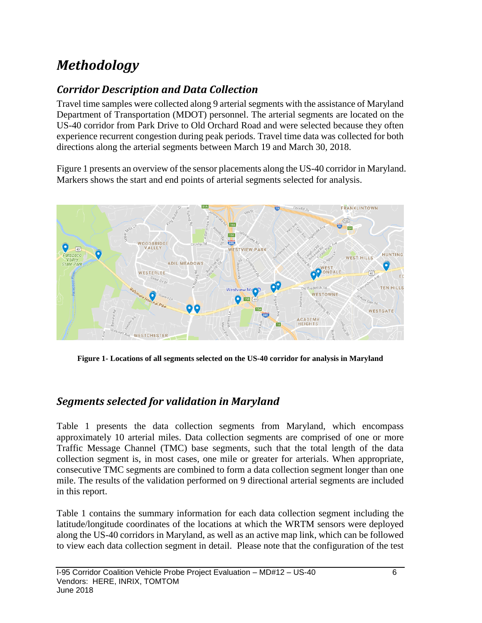# <span id="page-6-0"></span>*Methodology*

### <span id="page-6-1"></span>*Corridor Description and Data Collection*

Travel time samples were collected along 9 arterial segments with the assistance of Maryland Department of Transportation (MDOT) personnel. The arterial segments are located on the US-40 corridor from Park Drive to Old Orchard Road and were selected because they often experience recurrent congestion during peak periods. Travel time data was collected for both directions along the arterial segments between March 19 and March 30, 2018.

Figure 1 presents an overview of the sensor placements along the US-40 corridor in Maryland. Markers shows the start and end points of arterial segments selected for analysis.



**Figure 1- Locations of all segments selected on the US-40 corridor for analysis in Maryland**

### <span id="page-6-3"></span><span id="page-6-2"></span>*Segments selected for validation in Maryland*

Table 1 presents the data collection segments from Maryland, which encompass approximately 10 arterial miles. Data collection segments are comprised of one or more Traffic Message Channel (TMC) base segments, such that the total length of the data collection segment is, in most cases, one mile or greater for arterials. When appropriate, consecutive TMC segments are combined to form a data collection segment longer than one mile. The results of the validation performed on 9 directional arterial segments are included in this report.

Table 1 contains the summary information for each data collection segment including the latitude/longitude coordinates of the locations at which the WRTM sensors were deployed along the US-40 corridors in Maryland, as well as an active map link, which can be followed to view each data collection segment in detail. Please note that the configuration of the test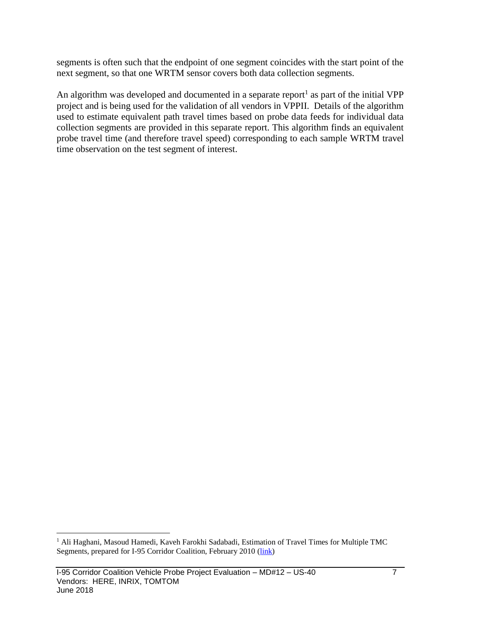segments is often such that the endpoint of one segment coincides with the start point of the next segment, so that one WRTM sensor covers both data collection segments.

An algorithm was developed and documented in a separate report<sup>1</sup> as part of the initial VPP project and is being used for the validation of all vendors in VPPII. Details of the algorithm used to estimate equivalent path travel times based on probe data feeds for individual data collection segments are provided in this separate report. This algorithm finds an equivalent probe travel time (and therefore travel speed) corresponding to each sample WRTM travel time observation on the test segment of interest.

 $\overline{a}$ 

<sup>&</sup>lt;sup>1</sup> Ali Haghani, Masoud Hamedi, Kaveh Farokhi Sadabadi, Estimation of Travel Times for Multiple TMC Segments, prepared for I-95 Corridor Coalition, February 2010 [\(link\)](http://www.i95coalition.org/wp-content/uploads/2015/02/I-95-CC-Estimation-of-Travel-Times-for-Multiple-TMC-Segments-FINAL2.pdf)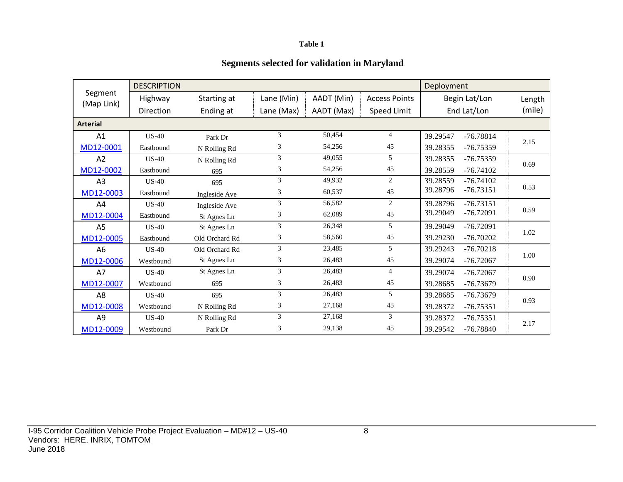#### **Table 1**

#### **Segments selected for validation in Maryland**

<span id="page-8-0"></span>

|                       | <b>DESCRIPTION</b> |                |                |            |                      | Deployment              |        |
|-----------------------|--------------------|----------------|----------------|------------|----------------------|-------------------------|--------|
| Segment<br>(Map Link) | Highway            | Starting at    | Lane (Min)     | AADT (Min) | <b>Access Points</b> | Begin Lat/Lon           | Length |
|                       | <b>Direction</b>   | Ending at      | Lane (Max)     | AADT (Max) | Speed Limit          | End Lat/Lon             | (mile) |
| <b>Arterial</b>       |                    |                |                |            |                      |                         |        |
| A1                    | $US-40$            | Park Dr        | 3              | 50,454     | $\overline{4}$       | 39.29547<br>$-76.78814$ | 2.15   |
| MD12-0001             | Eastbound          | N Rolling Rd   | 3              | 54,256     | 45                   | 39.28355<br>$-76.75359$ |        |
| A2                    | $US-40$            | N Rolling Rd   | 3              | 49,055     | .5                   | 39.28355<br>$-76.75359$ | 0.69   |
| MD12-0002             | Eastbound          | 695            | 3              | 54,256     | 45                   | $-76.74102$<br>39.28559 |        |
| A <sub>3</sub>        | <b>US-40</b>       | 695            | 3              | 49,932     | 2                    | 39.28559<br>$-76.74102$ |        |
| MD12-0003             | Eastbound          | Ingleside Ave  | $\mathfrak{Z}$ | 60,537     | 45                   | 39.28796<br>$-76.73151$ | 0.53   |
| A4                    | $US-40$            | Ingleside Ave  | 3              | 56,582     | 2                    | 39.28796<br>$-76.73151$ |        |
| MD12-0004             | Eastbound          | St Agnes Ln    | 3              | 62,089     | 45                   | 39.29049<br>$-76.72091$ | 0.59   |
| A <sub>5</sub>        | $US-40$            | St Agnes Ln    | 3              | 26,348     | 5                    | 39.29049<br>$-76.72091$ |        |
| MD12-0005             | Eastbound          | Old Orchard Rd | 3              | 58,560     | 45                   | 39.29230<br>$-76.70202$ | 1.02   |
| A <sub>6</sub>        | $US-40$            | Old Orchard Rd | 3              | 23,485     | 5                    | 39.29243<br>$-76.70218$ |        |
| MD12-0006             | Westbound          | St Agnes Ln    | 3              | 26,483     | 45                   | 39.29074<br>$-76.72067$ | 1.00   |
| A7                    | $US-40$            | St Agnes Ln    | 3              | 26,483     | $\overline{4}$       | 39.29074<br>$-76.72067$ |        |
| MD12-0007             | Westbound          | 695            | 3              | 26,483     | 45                   | 39.28685<br>$-76.73679$ | 0.90   |
| A8                    | $US-40$            | 695            | 3              | 26,483     | 5                    | 39.28685<br>$-76.73679$ |        |
| MD12-0008             | Westbound          | N Rolling Rd   | 3              | 27,168     | 45                   | 39.28372<br>$-76.75351$ | 0.93   |
| A <sub>9</sub>        | <b>US-40</b>       | N Rolling Rd   | 3              | 27,168     | 3                    | 39.28372<br>$-76.75351$ |        |
| MD12-0009             | Westbound          | Park Dr        | 3              | 29,138     | 45                   | 39.29542<br>$-76.78840$ | 2.17   |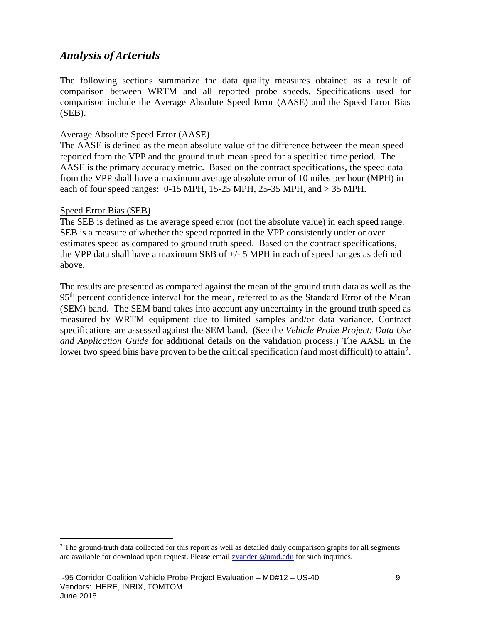#### <span id="page-9-0"></span>*Analysis of Arterials*

The following sections summarize the data quality measures obtained as a result of comparison between WRTM and all reported probe speeds. Specifications used for comparison include the Average Absolute Speed Error (AASE) and the Speed Error Bias (SEB).

#### Average Absolute Speed Error (AASE)

The AASE is defined as the mean absolute value of the difference between the mean speed reported from the VPP and the ground truth mean speed for a specified time period. The AASE is the primary accuracy metric. Based on the contract specifications, the speed data from the VPP shall have a maximum average absolute error of 10 miles per hour (MPH) in each of four speed ranges: 0-15 MPH, 15-25 MPH, 25-35 MPH, and > 35 MPH.

#### Speed Error Bias (SEB)

 $\overline{a}$ 

The SEB is defined as the average speed error (not the absolute value) in each speed range. SEB is a measure of whether the speed reported in the VPP consistently under or over estimates speed as compared to ground truth speed. Based on the contract specifications, the VPP data shall have a maximum SEB of +/- 5 MPH in each of speed ranges as defined above.

The results are presented as compared against the mean of the ground truth data as well as the 95<sup>th</sup> percent confidence interval for the mean, referred to as the Standard Error of the Mean (SEM) band. The SEM band takes into account any uncertainty in the ground truth speed as measured by WRTM equipment due to limited samples and/or data variance. Contract specifications are assessed against the SEM band. (See the *Vehicle Probe Project: Data Use and Application Guide* for additional details on the validation process.) The AASE in the lower two speed bins have proven to be the critical specification (and most difficult) to attain<sup>2</sup>.

<sup>&</sup>lt;sup>2</sup> The ground-truth data collected for this report as well as detailed daily comparison graphs for all segments are available for download upon request. Please email [zvanderl@umd.edu](mailto:zvanderl@umd.edu) for such inquiries.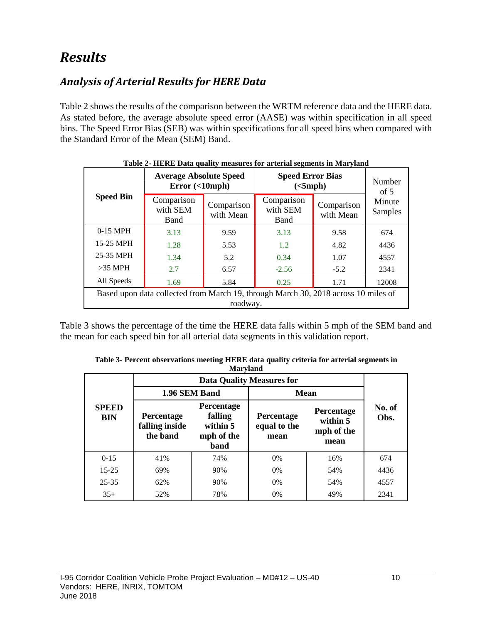## <span id="page-10-0"></span>*Results*

### <span id="page-10-1"></span>*Analysis of Arterial Results for HERE Data*

Table 2 shows the results of the comparison between the WRTM reference data and the HERE data. As stated before, the average absolute speed error (AASE) was within specification in all speed bins. The Speed Error Bias (SEB) was within specifications for all speed bins when compared with the Standard Error of the Mean (SEM) Band.

<span id="page-10-2"></span>

|                                                                                    | <b>Average Absolute Speed</b><br><b>Speed Error Bias</b><br>Error(<10mph)<br>(<5 mph) |                         |                                |                         |                             |  |  |
|------------------------------------------------------------------------------------|---------------------------------------------------------------------------------------|-------------------------|--------------------------------|-------------------------|-----------------------------|--|--|
| <b>Speed Bin</b>                                                                   | Comparison<br>with SEM<br><b>Band</b>                                                 | Comparison<br>with Mean | Comparison<br>with SEM<br>Band | Comparison<br>with Mean | of $5$<br>Minute<br>Samples |  |  |
| $0-15$ MPH                                                                         | 3.13                                                                                  | 9.59                    | 3.13                           | 9.58                    | 674                         |  |  |
| 15-25 MPH                                                                          | 1.28                                                                                  | 5.53                    | 1.2                            | 4.82                    | 4436                        |  |  |
| 25-35 MPH                                                                          | 1.34                                                                                  | 5.2                     | 0.34                           | 1.07                    | 4557                        |  |  |
| $>35$ MPH                                                                          | 2.7                                                                                   | 6.57                    | $-2.56$                        | $-5.2$                  | 2341                        |  |  |
| All Speeds                                                                         | 1.69                                                                                  | 5.84                    | 0.25                           | 1.71                    | 12008                       |  |  |
| Based upon data collected from March 19, through March 30, 2018 across 10 miles of |                                                                                       |                         |                                |                         |                             |  |  |
|                                                                                    |                                                                                       | roadway.                |                                |                         |                             |  |  |

| Table 2- HERE Data quality measures for arterial segments in Maryland |
|-----------------------------------------------------------------------|
|-----------------------------------------------------------------------|

Table 3 shows the percentage of the time the HERE data falls within 5 mph of the SEM band and the mean for each speed bin for all arterial data segments in this validation report.

|                            |                                                 |                                                                | <b>Data Quality Measures for</b>   |                                                     |                |  |
|----------------------------|-------------------------------------------------|----------------------------------------------------------------|------------------------------------|-----------------------------------------------------|----------------|--|
|                            | 1.96 SEM Band                                   |                                                                | <b>Mean</b>                        |                                                     |                |  |
| <b>SPEED</b><br><b>BIN</b> | <b>Percentage</b><br>falling inside<br>the band | <b>Percentage</b><br>falling<br>within 5<br>mph of the<br>band | Percentage<br>equal to the<br>mean | <b>Percentage</b><br>within 5<br>mph of the<br>mean | No. of<br>Obs. |  |
| $0 - 15$                   | 41%                                             | 74%                                                            | 0%                                 | 16%                                                 | 674            |  |
| $15 - 25$                  | 69%                                             | 90%                                                            | $0\%$                              | 54%                                                 | 4436           |  |
| $25 - 35$                  | 62%                                             | 90%                                                            | 0%                                 | 54%                                                 | 4557           |  |
| $35+$                      | 52%                                             | 78%                                                            | 0%                                 | 49%                                                 | 2341           |  |

<span id="page-10-3"></span>**Table 3- Percent observations meeting HERE data quality criteria for arterial segments in Maryland**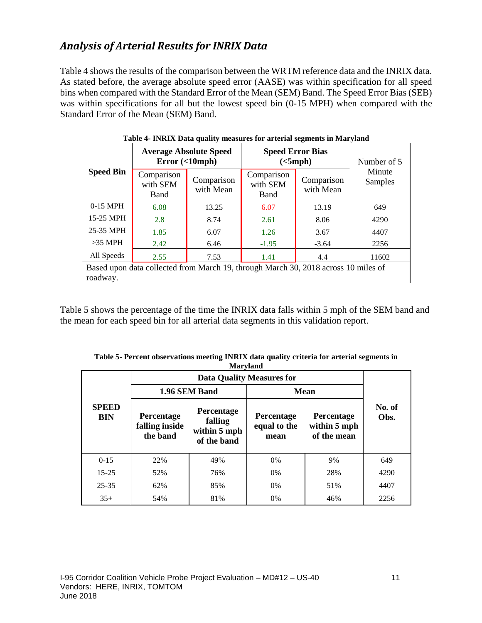### <span id="page-11-0"></span>*Analysis of Arterial Results for INRIX Data*

Table 4 shows the results of the comparison between the WRTM reference data and the INRIX data. As stated before, the average absolute speed error (AASE) was within specification for all speed bins when compared with the Standard Error of the Mean (SEM) Band. The Speed Error Bias (SEB) was within specifications for all but the lowest speed bin (0-15 MPH) when compared with the Standard Error of the Mean (SEM) Band.

<span id="page-11-1"></span>

|                  | <b>Average Absolute Speed</b><br><b>Speed Error Bias</b><br>Error(<10mph)<br>(<5 mph) |                         |                                |                         | Number of 5       |  |  |
|------------------|---------------------------------------------------------------------------------------|-------------------------|--------------------------------|-------------------------|-------------------|--|--|
| <b>Speed Bin</b> | Comparison<br>with SEM<br>Band                                                        | Comparison<br>with Mean | Comparison<br>with SEM<br>Band | Comparison<br>with Mean | Minute<br>Samples |  |  |
| $0-15$ MPH       | 6.08                                                                                  | 13.25                   | 6.07                           | 13.19                   | 649               |  |  |
| 15-25 MPH        | 2.8                                                                                   | 8.74                    | 2.61                           | 8.06                    | 4290              |  |  |
| 25-35 MPH        | 1.85                                                                                  | 6.07                    | 1.26                           | 3.67                    | 4407              |  |  |
| $>35$ MPH        | 2.42                                                                                  | 6.46                    | $-1.95$                        | $-3.64$                 | 2256              |  |  |
| All Speeds       | 2.55                                                                                  | 7.53                    | 1.41                           | 4.4                     | 11602             |  |  |
| roadway.         | Based upon data collected from March 19, through March 30, 2018 across 10 miles of    |                         |                                |                         |                   |  |  |

**Table 4- INRIX Data quality measures for arterial segments in Maryland**

Table 5 shows the percentage of the time the INRIX data falls within 5 mph of the SEM band and the mean for each speed bin for all arterial data segments in this validation report.

|                            |                                          | <b>Mal yialiu</b>                                    |                                           |                                                  |                |  |
|----------------------------|------------------------------------------|------------------------------------------------------|-------------------------------------------|--------------------------------------------------|----------------|--|
|                            |                                          |                                                      |                                           |                                                  |                |  |
|                            | 1.96 SEM Band                            |                                                      | <b>Mean</b>                               |                                                  |                |  |
| <b>SPEED</b><br><b>BIN</b> | Percentage<br>falling inside<br>the band | Percentage<br>falling<br>within 5 mph<br>of the band | <b>Percentage</b><br>equal to the<br>mean | <b>Percentage</b><br>within 5 mph<br>of the mean | No. of<br>Obs. |  |
| $0-15$                     | 22%                                      | 49%                                                  | 0%                                        | 9%                                               | 649            |  |
| $15 - 25$                  | 52%                                      | 76%                                                  | 0%                                        | 28%                                              | 4290           |  |
| $25 - 35$                  | 62%                                      | 85%                                                  | 0%                                        | 51%                                              | 4407           |  |
| $35+$                      | 54%                                      | 81%                                                  | 0%                                        | 46%                                              | 2256           |  |

<span id="page-11-2"></span>**Table 5- Percent observations meeting INRIX data quality criteria for arterial segments in Maryland**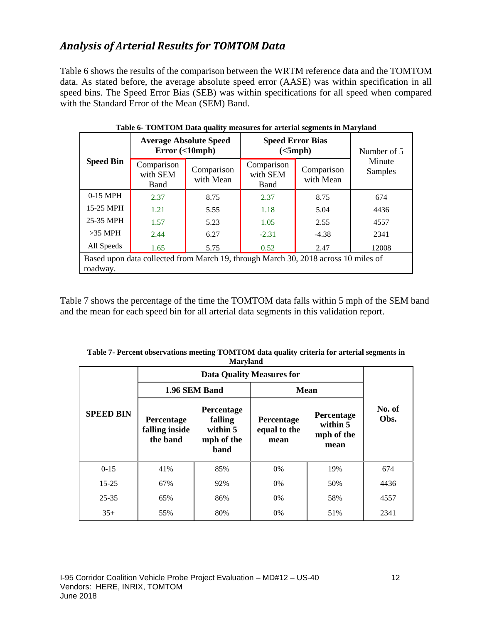#### <span id="page-12-0"></span>*Analysis of Arterial Results for TOMTOM Data*

Table 6 shows the results of the comparison between the WRTM reference data and the TOMTOM data. As stated before, the average absolute speed error (AASE) was within specification in all speed bins. The Speed Error Bias (SEB) was within specifications for all speed when compared with the Standard Error of the Mean (SEM) Band.

<span id="page-12-1"></span>

| <b>Speed Bin</b>                                                                               |                                | <b>Average Absolute Speed</b><br>Error(<10mph) | <b>Speed Error Bias</b><br>(<5 mph) | Number of 5             |                   |  |  |
|------------------------------------------------------------------------------------------------|--------------------------------|------------------------------------------------|-------------------------------------|-------------------------|-------------------|--|--|
|                                                                                                | Comparison<br>with SEM<br>Band | Comparison<br>with Mean                        | Comparison<br>with SEM<br>Band      | Comparison<br>with Mean | Minute<br>Samples |  |  |
| $0-15$ MPH                                                                                     | 2.37                           | 8.75                                           | 2.37                                | 8.75                    | 674               |  |  |
| 15-25 MPH                                                                                      | 1.21                           | 5.55                                           | 1.18                                | 5.04                    | 4436              |  |  |
| 25-35 MPH                                                                                      | 1.57                           | 5.23                                           | 1.05                                | 2.55                    | 4557              |  |  |
| $>35$ MPH                                                                                      | 2.44                           | 6.27                                           | $-2.31$                             | $-4.38$                 | 2341              |  |  |
| All Speeds                                                                                     | 1.65                           | 5.75                                           | 0.52                                | 2.47                    | 12008             |  |  |
| Based upon data collected from March 19, through March 30, 2018 across 10 miles of<br>roadway. |                                |                                                |                                     |                         |                   |  |  |

| Table 6- TOMTOM Data quality measures for arterial segments in Maryland |  |
|-------------------------------------------------------------------------|--|
|                                                                         |  |

Table 7 shows the percentage of the time the TOMTOM data falls within 5 mph of the SEM band and the mean for each speed bin for all arterial data segments in this validation report.

|                  |                                          | Maryland                                                |                                    |                                              |                |
|------------------|------------------------------------------|---------------------------------------------------------|------------------------------------|----------------------------------------------|----------------|
| <b>SPEED BIN</b> |                                          |                                                         |                                    |                                              |                |
|                  |                                          | 1.96 SEM Band                                           | Mean                               |                                              |                |
|                  | Percentage<br>falling inside<br>the band | Percentage<br>falling<br>within 5<br>mph of the<br>band | Percentage<br>equal to the<br>mean | Percentage<br>within 5<br>mph of the<br>mean | No. of<br>Obs. |
| $0 - 15$         | 41%                                      | 85%                                                     | 0%                                 | 19%                                          | 674            |
| $15 - 25$        | 67%<br>92%                               |                                                         | $0\%$                              | 50%                                          | 4436           |
| $25 - 35$        | 65%<br>86%                               |                                                         | 0%                                 | 58%                                          | 4557           |
| $35+$            | 55%                                      | 80%                                                     | 0%                                 | 51%                                          | 2341           |

<span id="page-12-2"></span>**Table 7- Percent observations meeting TOMTOM data quality criteria for arterial segments in Maryland**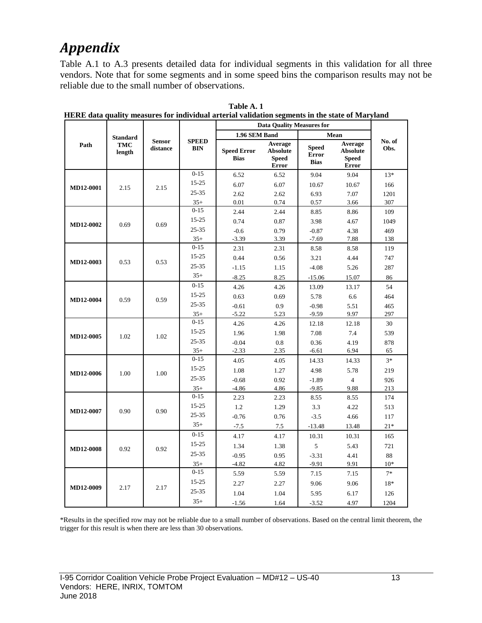# <span id="page-13-0"></span>*Appendix*

Table A.1 to A.3 presents detailed data for individual segments in this validation for all three vendors. Note that for some segments and in some speed bins the comparison results may not be reliable due to the small number of observations.

|                  |                      |                           |                            | <b>Data Quality Measures for</b>  |                                                     |                                             |                                                            |                |
|------------------|----------------------|---------------------------|----------------------------|-----------------------------------|-----------------------------------------------------|---------------------------------------------|------------------------------------------------------------|----------------|
|                  | <b>Standard</b>      | <b>Sensor</b><br>distance | <b>SPEED</b><br><b>BIN</b> | 1.96 SEM Band                     |                                                     | Mean                                        |                                                            |                |
| Path             | <b>TMC</b><br>length |                           |                            | <b>Speed Error</b><br><b>Bias</b> | Average<br><b>Absolute</b><br><b>Speed</b><br>Error | <b>Speed</b><br><b>Error</b><br><b>Bias</b> | Average<br><b>Absolute</b><br><b>Speed</b><br><b>Error</b> | No. of<br>Obs. |
|                  |                      |                           | $0 - 15$                   | 6.52                              | 6.52                                                | 9.04                                        | 9.04                                                       | $13*$          |
| MD12-0001        | 2.15                 | 2.15                      | 15-25                      | 6.07                              | 6.07                                                | 10.67                                       | 10.67                                                      | 166            |
|                  |                      |                           | $25 - 35$                  | 2.62                              | 2.62                                                | 6.93                                        | 7.07                                                       | 1201           |
|                  |                      |                           | $35+$                      | 0.01                              | 0.74                                                | 0.57                                        | 3.66                                                       | 307            |
|                  |                      |                           | $0 - 15$                   | 2.44                              | 2.44                                                | 8.85                                        | 8.86                                                       | 109            |
| <b>MD12-0002</b> | 0.69                 | 0.69                      | $15 - 25$                  | 0.74                              | 0.87                                                | 3.98                                        | 4.67                                                       | 1049           |
|                  |                      |                           | $25 - 35$                  | $-0.6$                            | 0.79                                                | $-0.87$                                     | 4.38                                                       | 469            |
|                  |                      |                           | $35+$                      | $-3.39$                           | 3.39                                                | $-7.69$                                     | 7.88                                                       | 138            |
|                  |                      |                           | $0 - 15$                   | 2.31                              | 2.31                                                | 8.58                                        | 8.58                                                       | 119            |
| <b>MD12-0003</b> | 0.53                 | 0.53                      | 15-25                      | 0.44                              | 0.56                                                | 3.21                                        | 4.44                                                       | 747            |
|                  |                      |                           | $25 - 35$                  | $-1.15$                           | 1.15                                                | $-4.08$                                     | 5.26                                                       | 287            |
|                  |                      |                           | $35+$                      | $-8.25$                           | 8.25                                                | $-15.06$                                    | 15.07                                                      | 86             |
|                  |                      |                           | $0 - 15$                   | 4.26                              | 4.26                                                | 13.09                                       | 13.17                                                      | 54             |
| <b>MD12-0004</b> | 0.59                 | 0.59                      | 15-25                      | 0.63                              | 0.69                                                | 5.78                                        | 6.6                                                        | 464            |
|                  |                      |                           | $25 - 35$                  | $-0.61$                           | 0.9                                                 | $-0.98$                                     | 5.51                                                       | 465            |
|                  |                      |                           | $35+$                      | $-5.22$                           | 5.23                                                | $-9.59$                                     | 9.97                                                       | 297            |
|                  |                      |                           | $0 - 15$                   | 4.26                              | 4.26                                                | 12.18                                       | 12.18                                                      | 30             |
| MD12-0005        | 1.02                 | 1.02                      | $15 - 25$                  | 1.96                              | 1.98                                                | 7.08                                        | 7.4                                                        | 539            |
|                  |                      |                           | $25 - 35$                  | $-0.04$                           | 0.8                                                 | 0.36                                        | 4.19                                                       | 878            |
|                  |                      |                           | $35+$                      | $-2.33$                           | 2.35                                                | $-6.61$                                     | 6.94                                                       | 65             |
|                  |                      |                           | $0 - 15$                   | 4.05                              | 4.05                                                | 14.33                                       | 14.33                                                      | $3*$           |
| MD12-0006        | 1.00                 | 1.00                      | 15-25                      | 1.08                              | 1.27                                                | 4.98                                        | 5.78                                                       | 219            |
|                  |                      |                           | $25 - 35$                  | $-0.68$                           | 0.92                                                | $-1.89$                                     | $\overline{4}$                                             | 926            |
|                  |                      |                           | $35+$                      | $-4.86$                           | 4.86                                                | $-9.85$                                     | 9.88                                                       | 213            |
|                  |                      |                           | $0 - 15$                   | 2.23                              | 2.23                                                | 8.55                                        | 8.55                                                       | 174            |
| MD12-0007        | 0.90                 | 0.90                      | 15-25                      | 1.2                               | 1.29                                                | 3.3                                         | 4.22                                                       | 513            |
|                  |                      |                           | $25 - 35$                  | $-0.76$                           | 0.76                                                | $-3.5$                                      | 4.66                                                       | 117            |
|                  |                      |                           | $35+$                      | $-7.5$                            | 7.5                                                 | $-13.48$                                    | 13.48                                                      | $21*$          |
|                  |                      |                           | $0 - 15$                   | 4.17                              | 4.17                                                | 10.31                                       | 10.31                                                      | 165            |
| <b>MD12-0008</b> | 0.92                 | 0.92                      | $15 - 25$                  | 1.34                              | 1.38                                                | 5                                           | 5.43                                                       | 721            |
|                  |                      |                           | $25 - 35$                  | $-0.95$                           | 0.95                                                | $-3.31$                                     | 4.41                                                       | 88             |
|                  |                      |                           | $35+$                      | $-4.82$                           | 4.82                                                | $-9.91$                                     | 9.91                                                       | $10*$          |
|                  |                      |                           | $0 - 15$                   | 5.59                              | 5.59                                                | 7.15                                        | 7.15                                                       | $7*$           |
|                  |                      |                           | $15 - 25$                  | 2.27                              | 2.27                                                | 9.06                                        | 9.06                                                       | 18*            |
| MD12-0009        | 2.17                 | 2.17                      | $25 - 35$                  | 1.04                              | 1.04                                                | 5.95                                        | 6.17                                                       | 126            |
|                  |                      |                           | $35+$                      | $-1.56$                           | 1.64                                                | $-3.52$                                     | 4.97                                                       | 1204           |

<span id="page-13-1"></span>**Table A. 1 HERE data quality measures for individual arterial validation segments in the state of Maryland**

\*Results in the specified row may not be reliable due to a small number of observations. Based on the central limit theorem, the trigger for this result is when there are less than 30 observations.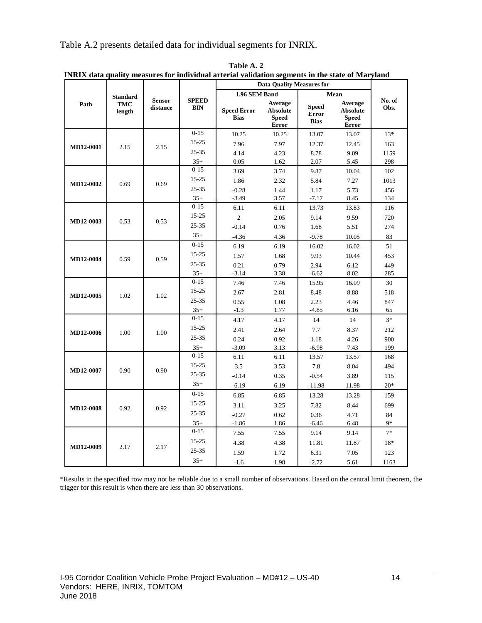Table A.2 presents detailed data for individual segments for INRIX.

|           | <b>Standard</b><br><b>TMC</b><br>length | <b>Sensor</b><br>distance | <b>SPEED</b><br><b>BIN</b> | <b>Data Quality Measures for</b>  |                                                     |                                             |                                                            |                |
|-----------|-----------------------------------------|---------------------------|----------------------------|-----------------------------------|-----------------------------------------------------|---------------------------------------------|------------------------------------------------------------|----------------|
|           |                                         |                           |                            | 1.96 SEM Band                     |                                                     |                                             | Mean                                                       |                |
| Path      |                                         |                           |                            | <b>Speed Error</b><br><b>Bias</b> | Average<br>Absolute<br><b>Speed</b><br><b>Error</b> | <b>Speed</b><br><b>Error</b><br><b>Bias</b> | Average<br><b>Absolute</b><br><b>Speed</b><br><b>Error</b> | No. of<br>Obs. |
|           |                                         |                           | $0 - 15$                   | 10.25                             | 10.25                                               | 13.07                                       | 13.07                                                      | $13*$          |
| MD12-0001 | 2.15                                    | 2.15                      | $15 - 25$                  | 7.96                              | 7.97                                                | 12.37                                       | 12.45                                                      | 163            |
|           |                                         |                           | 25-35                      | 4.14                              | 4.23                                                | 8.78                                        | 9.09                                                       | 1159           |
|           |                                         |                           | $35+$                      | 0.05                              | 1.62                                                | 2.07                                        | 5.45                                                       | 298            |
|           |                                         |                           | $0 - 15$                   | 3.69                              | 3.74                                                | 9.87                                        | 10.04                                                      | 102            |
| MD12-0002 | 0.69                                    | 0.69                      | $15 - 25$                  | 1.86                              | 2.32                                                | 5.84                                        | 7.27                                                       | 1013           |
|           |                                         |                           | 25-35                      | $-0.28$                           | 1.44                                                | 1.17                                        | 5.73                                                       | 456            |
|           |                                         |                           | $35+$                      | $-3.49$                           | 3.57                                                | $-7.17$                                     | 8.45                                                       | 134            |
|           |                                         |                           | $0 - 15$                   | 6.11                              | 6.11                                                | 13.73                                       | 13.83                                                      | 116            |
| MD12-0003 | 0.53                                    | 0.53                      | 15-25                      | $\sqrt{2}$                        | $2.05\,$                                            | 9.14                                        | 9.59                                                       | 720            |
|           |                                         |                           | $25 - 35$                  | $-0.14$                           | 0.76                                                | 1.68                                        | 5.51                                                       | 274            |
|           |                                         |                           | $35+$                      | $-4.36$                           | 4.36                                                | $-9.78$                                     | 10.05                                                      | 83             |
|           |                                         |                           | $0-15$                     | 6.19                              | 6.19                                                | 16.02                                       | 16.02                                                      | 51             |
| MD12-0004 | 0.59                                    | 0.59                      | 15-25                      | 1.57                              | 1.68                                                | 9.93                                        | 10.44                                                      | 453            |
|           |                                         |                           | 25-35                      | 0.21                              | 0.79                                                | 2.94                                        | 6.12                                                       | 449            |
|           |                                         |                           | $35+$                      | $-3.14$                           | 3.38                                                | $-6.62$                                     | 8.02                                                       | 285            |
|           |                                         |                           | $0 - 15$                   | 7.46                              | 7.46                                                | 15.95                                       | 16.09                                                      | 30             |
| MD12-0005 | 1.02                                    | 1.02                      | 15-25                      | 2.67                              | 2.81                                                | 8.48                                        | 8.88                                                       | 518            |
|           |                                         |                           | 25-35                      | 0.55                              | $1.08\,$                                            | 2.23                                        | 4.46                                                       | 847            |
|           |                                         |                           | $35+$                      | $-1.3$                            | 1.77                                                | $-4.85$                                     | 6.16                                                       | 65             |
|           |                                         |                           | $0 - 15$                   | 4.17                              | 4.17                                                | 14                                          | 14                                                         | $3*$           |
| MD12-0006 | 1.00                                    | 1.00                      | 15-25                      | 2.41                              | 2.64                                                | 7.7                                         | 8.37                                                       | 212            |
|           |                                         |                           | $25 - 35$                  | 0.24                              | 0.92                                                | 1.18                                        | 4.26                                                       | 900            |
|           |                                         |                           | $35+$                      | $-3.09$                           | 3.13                                                | $-6.98$                                     | 7.43                                                       | 199            |
|           |                                         |                           | $0-15$                     | 6.11                              | 6.11                                                | 13.57                                       | 13.57                                                      | 168            |
| MD12-0007 | 0.90                                    | 0.90                      | 15-25                      | 3.5                               | 3.53                                                | 7.8                                         | 8.04                                                       | 494            |
|           |                                         |                           | 25-35                      | $-0.14$                           | 0.35                                                | $-0.54$                                     | 3.89                                                       | 115            |
|           |                                         |                           | $35+$                      | $-6.19$                           | 6.19                                                | $-11.98$                                    | 11.98                                                      | $20*$          |
|           |                                         |                           | $0 - 15$                   | 6.85                              | 6.85                                                | 13.28                                       | 13.28                                                      | 159            |
|           | 0.92                                    | 0.92                      | 15-25                      | 3.11                              | 3.25                                                | 7.82                                        | 8.44                                                       | 699            |
| MD12-0008 |                                         |                           | $25 - 35$                  | $-0.27$                           | 0.62                                                | 0.36                                        | 4.71                                                       | 84             |
|           |                                         |                           | $35+$                      | $-1.86$                           | 1.86                                                | $-6.46$                                     | 6.48                                                       | $9*$           |
|           |                                         |                           | $0 - 15$                   | 7.55                              | 7.55                                                | 9.14                                        | 9.14                                                       | $7*$           |
|           |                                         |                           | 15-25                      | 4.38                              | 4.38                                                | 11.81                                       | 11.87                                                      | 18*            |
| MD12-0009 | 2.17                                    | 2.17                      | 25-35                      | 1.59                              | 1.72                                                | 6.31                                        | 7.05                                                       | 123            |
|           |                                         |                           | $35+$                      | $-1.6$                            | 1.98                                                | $-2.72$                                     | 5.61                                                       | 1163           |

<span id="page-14-0"></span>**Table A. 2 INRIX data quality measures for individual arterial validation segments in the state of Maryland**

\*Results in the specified row may not be reliable due to a small number of observations. Based on the central limit theorem, the trigger for this result is when there are less than 30 observations.